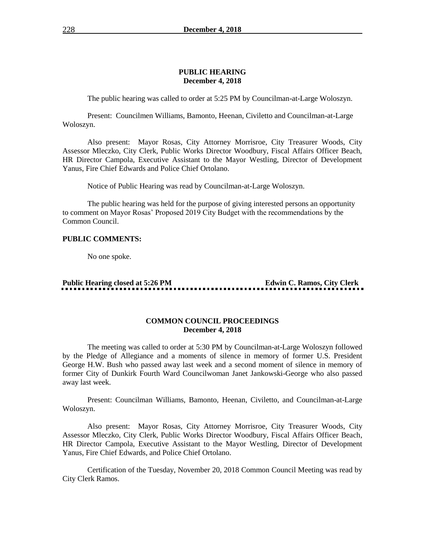#### **PUBLIC HEARING December 4, 2018**

The public hearing was called to order at 5:25 PM by Councilman-at-Large Woloszyn.

Present: Councilmen Williams, Bamonto, Heenan, Civiletto and Councilman-at-Large Woloszyn.

Also present: Mayor Rosas, City Attorney Morrisroe, City Treasurer Woods, City Assessor Mleczko, City Clerk, Public Works Director Woodbury, Fiscal Affairs Officer Beach, HR Director Campola, Executive Assistant to the Mayor Westling, Director of Development Yanus, Fire Chief Edwards and Police Chief Ortolano.

Notice of Public Hearing was read by Councilman-at-Large Woloszyn.

The public hearing was held for the purpose of giving interested persons an opportunity to comment on Mayor Rosas' Proposed 2019 City Budget with the recommendations by the Common Council.

# **PUBLIC COMMENTS:**

No one spoke.

**Public Hearing closed at 5:26 PM Edwin C. Ramos, City Clerk** 

#### **COMMON COUNCIL PROCEEDINGS December 4, 2018**

The meeting was called to order at 5:30 PM by Councilman-at-Large Woloszyn followed by the Pledge of Allegiance and a moments of silence in memory of former U.S. President George H.W. Bush who passed away last week and a second moment of silence in memory of former City of Dunkirk Fourth Ward Councilwoman Janet Jankowski-George who also passed away last week.

Present: Councilman Williams, Bamonto, Heenan, Civiletto, and Councilman-at-Large Woloszyn.

Also present: Mayor Rosas, City Attorney Morrisroe, City Treasurer Woods, City Assessor Mleczko, City Clerk, Public Works Director Woodbury, Fiscal Affairs Officer Beach, HR Director Campola, Executive Assistant to the Mayor Westling, Director of Development Yanus, Fire Chief Edwards, and Police Chief Ortolano.

Certification of the Tuesday, November 20, 2018 Common Council Meeting was read by City Clerk Ramos.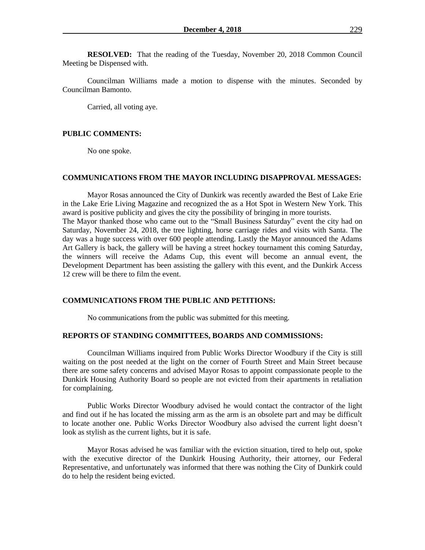**RESOLVED:** That the reading of the Tuesday, November 20, 2018 Common Council Meeting be Dispensed with.

Councilman Williams made a motion to dispense with the minutes. Seconded by Councilman Bamonto.

Carried, all voting aye.

#### **PUBLIC COMMENTS:**

No one spoke.

#### **COMMUNICATIONS FROM THE MAYOR INCLUDING DISAPPROVAL MESSAGES:**

Mayor Rosas announced the City of Dunkirk was recently awarded the Best of Lake Erie in the Lake Erie Living Magazine and recognized the as a Hot Spot in Western New York. This award is positive publicity and gives the city the possibility of bringing in more tourists. The Mayor thanked those who came out to the "Small Business Saturday" event the city had on Saturday, November 24, 2018, the tree lighting, horse carriage rides and visits with Santa. The day was a huge success with over 600 people attending. Lastly the Mayor announced the Adams Art Gallery is back, the gallery will be having a street hockey tournament this coming Saturday, the winners will receive the Adams Cup, this event will become an annual event, the Development Department has been assisting the gallery with this event, and the Dunkirk Access 12 crew will be there to film the event.

#### **COMMUNICATIONS FROM THE PUBLIC AND PETITIONS:**

No communications from the public was submitted for this meeting.

#### **REPORTS OF STANDING COMMITTEES, BOARDS AND COMMISSIONS:**

Councilman Williams inquired from Public Works Director Woodbury if the City is still waiting on the post needed at the light on the corner of Fourth Street and Main Street because there are some safety concerns and advised Mayor Rosas to appoint compassionate people to the Dunkirk Housing Authority Board so people are not evicted from their apartments in retaliation for complaining.

Public Works Director Woodbury advised he would contact the contractor of the light and find out if he has located the missing arm as the arm is an obsolete part and may be difficult to locate another one. Public Works Director Woodbury also advised the current light doesn't look as stylish as the current lights, but it is safe.

Mayor Rosas advised he was familiar with the eviction situation, tired to help out, spoke with the executive director of the Dunkirk Housing Authority, their attorney, our Federal Representative, and unfortunately was informed that there was nothing the City of Dunkirk could do to help the resident being evicted.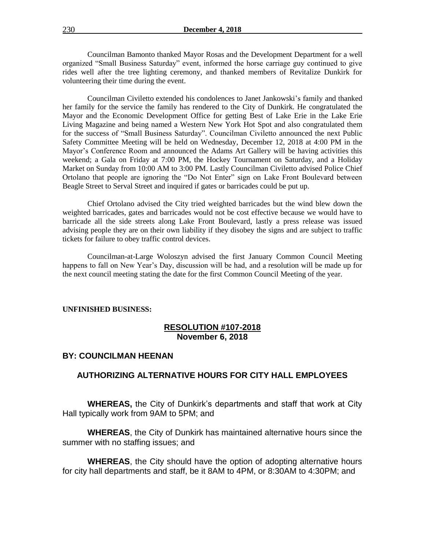Councilman Bamonto thanked Mayor Rosas and the Development Department for a well organized "Small Business Saturday" event, informed the horse carriage guy continued to give rides well after the tree lighting ceremony, and thanked members of Revitalize Dunkirk for volunteering their time during the event.

Councilman Civiletto extended his condolences to Janet Jankowski's family and thanked her family for the service the family has rendered to the City of Dunkirk. He congratulated the Mayor and the Economic Development Office for getting Best of Lake Erie in the Lake Erie Living Magazine and being named a Western New York Hot Spot and also congratulated them for the success of "Small Business Saturday". Councilman Civiletto announced the next Public Safety Committee Meeting will be held on Wednesday, December 12, 2018 at 4:00 PM in the Mayor's Conference Room and announced the Adams Art Gallery will be having activities this weekend; a Gala on Friday at 7:00 PM, the Hockey Tournament on Saturday, and a Holiday Market on Sunday from 10:00 AM to 3:00 PM. Lastly Councilman Civiletto advised Police Chief Ortolano that people are ignoring the "Do Not Enter" sign on Lake Front Boulevard between Beagle Street to Serval Street and inquired if gates or barricades could be put up.

Chief Ortolano advised the City tried weighted barricades but the wind blew down the weighted barricades, gates and barricades would not be cost effective because we would have to barricade all the side streets along Lake Front Boulevard, lastly a press release was issued advising people they are on their own liability if they disobey the signs and are subject to traffic tickets for failure to obey traffic control devices.

Councilman-at-Large Woloszyn advised the first January Common Council Meeting happens to fall on New Year's Day, discussion will be had, and a resolution will be made up for the next council meeting stating the date for the first Common Council Meeting of the year.

#### **UNFINISHED BUSINESS:**

## **RESOLUTION #107-2018 November 6, 2018**

#### **BY: COUNCILMAN HEENAN**

# **AUTHORIZING ALTERNATIVE HOURS FOR CITY HALL EMPLOYEES**

**WHEREAS,** the City of Dunkirk's departments and staff that work at City Hall typically work from 9AM to 5PM; and

**WHEREAS**, the City of Dunkirk has maintained alternative hours since the summer with no staffing issues; and

**WHEREAS**, the City should have the option of adopting alternative hours for city hall departments and staff, be it 8AM to 4PM, or 8:30AM to 4:30PM; and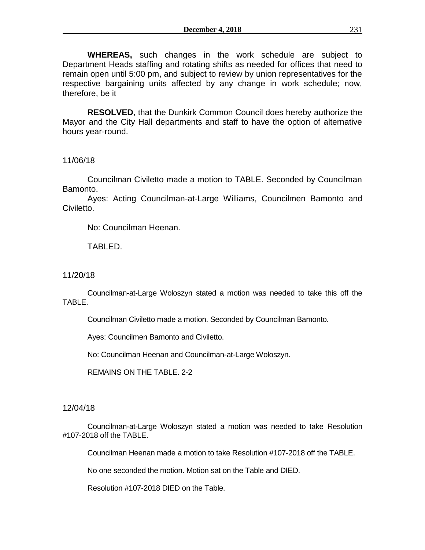**WHEREAS,** such changes in the work schedule are subject to Department Heads staffing and rotating shifts as needed for offices that need to remain open until 5:00 pm, and subject to review by union representatives for the respective bargaining units affected by any change in work schedule; now, therefore, be it

**RESOLVED**, that the Dunkirk Common Council does hereby authorize the Mayor and the City Hall departments and staff to have the option of alternative hours year-round.

11/06/18

Councilman Civiletto made a motion to TABLE. Seconded by Councilman Bamonto.

Ayes: Acting Councilman-at-Large Williams, Councilmen Bamonto and Civiletto.

No: Councilman Heenan.

TABLED.

11/20/18

Councilman-at-Large Woloszyn stated a motion was needed to take this off the TABLE.

Councilman Civiletto made a motion. Seconded by Councilman Bamonto.

Ayes: Councilmen Bamonto and Civiletto.

No: Councilman Heenan and Councilman-at-Large Woloszyn.

REMAINS ON THE TABLE. 2-2

12/04/18

Councilman-at-Large Woloszyn stated a motion was needed to take Resolution #107-2018 off the TABLE.

Councilman Heenan made a motion to take Resolution #107-2018 off the TABLE.

No one seconded the motion. Motion sat on the Table and DIED.

Resolution #107-2018 DIED on the Table.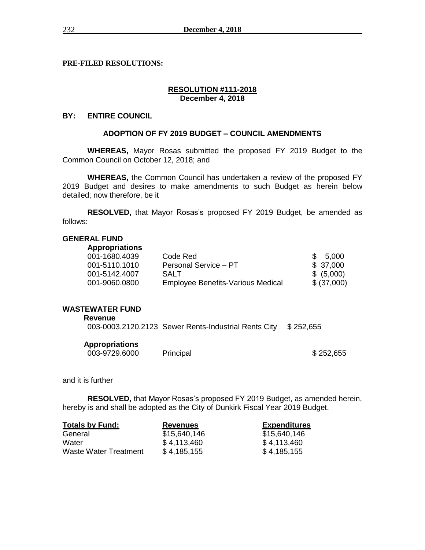**PRE-FILED RESOLUTIONS:** 

#### **RESOLUTION #111-2018 December 4, 2018**

# **BY: ENTIRE COUNCIL**

# **ADOPTION OF FY 2019 BUDGET – COUNCIL AMENDMENTS**

**WHEREAS,** Mayor Rosas submitted the proposed FY 2019 Budget to the Common Council on October 12, 2018; and

**WHEREAS,** the Common Council has undertaken a review of the proposed FY 2019 Budget and desires to make amendments to such Budget as herein below detailed; now therefore, be it

**RESOLVED,** that Mayor Rosas's proposed FY 2019 Budget, be amended as follows:

# **GENERAL FUND**

| <b>Appropriations</b> |                                          |             |
|-----------------------|------------------------------------------|-------------|
| 001-1680.4039         | Code Red                                 | \$5,000     |
| 001-5110.1010         | Personal Service - PT                    | \$37.000    |
| 001-5142.4007         | <b>SALT</b>                              | \$ (5,000)  |
| 001-9060.0800         | <b>Employee Benefits-Various Medical</b> | \$ (37,000) |

# **WASTEWATER FUND**

| Revenue               |                                                                |  |
|-----------------------|----------------------------------------------------------------|--|
|                       | 003-0003.2120.2123 Sewer Rents-Industrial Rents City \$252,655 |  |
| <b>Appropriations</b> |                                                                |  |

| 003-9729.6000 | Principal | \$252,655 |
|---------------|-----------|-----------|
|               |           |           |

and it is further

**RESOLVED,** that Mayor Rosas's proposed FY 2019 Budget, as amended herein, hereby is and shall be adopted as the City of Dunkirk Fiscal Year 2019 Budget.

| <b>Totals by Fund:</b>       | <b>Revenues</b> | <b>Expenditures</b> |  |  |
|------------------------------|-----------------|---------------------|--|--|
| General                      | \$15,640,146    | \$15,640,146        |  |  |
| Water                        | \$4,113,460     | \$4,113,460         |  |  |
| <b>Waste Water Treatment</b> | \$4,185,155     | \$4,185,155         |  |  |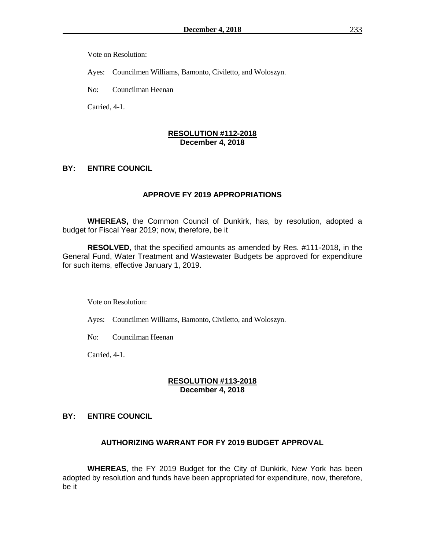Vote on Resolution:

Ayes: Councilmen Williams, Bamonto, Civiletto, and Woloszyn.

No: Councilman Heenan

Carried, 4-1.

## **RESOLUTION #112-2018 December 4, 2018**

# **BY: ENTIRE COUNCIL**

#### **APPROVE FY 2019 APPROPRIATIONS**

**WHEREAS,** the Common Council of Dunkirk, has, by resolution, adopted a budget for Fiscal Year 2019; now, therefore, be it

**RESOLVED**, that the specified amounts as amended by Res. #111-2018, in the General Fund, Water Treatment and Wastewater Budgets be approved for expenditure for such items, effective January 1, 2019.

Vote on Resolution:

Ayes: Councilmen Williams, Bamonto, Civiletto, and Woloszyn.

No: Councilman Heenan

Carried, 4-1.

# **RESOLUTION #113-2018 December 4, 2018**

# **BY: ENTIRE COUNCIL**

# **AUTHORIZING WARRANT FOR FY 2019 BUDGET APPROVAL**

**WHEREAS**, the FY 2019 Budget for the City of Dunkirk, New York has been adopted by resolution and funds have been appropriated for expenditure, now, therefore, be it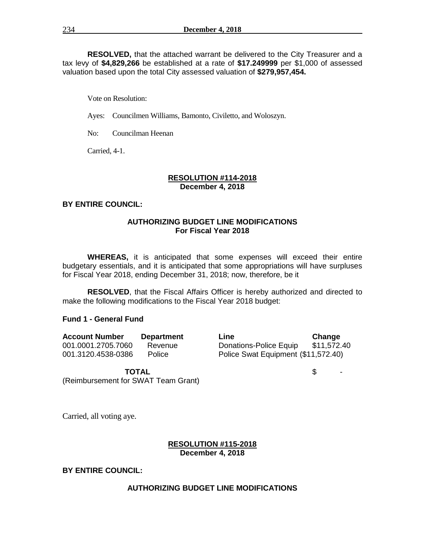**RESOLVED,** that the attached warrant be delivered to the City Treasurer and a tax levy of **\$4,829,266** be established at a rate of **\$17.249999** per \$1,000 of assessed valuation based upon the total City assessed valuation of **\$279,957,454.**

Vote on Resolution:

Ayes: Councilmen Williams, Bamonto, Civiletto, and Woloszyn.

No: Councilman Heenan

Carried, 4-1.

#### **RESOLUTION #114-2018 December 4, 2018**

# **BY ENTIRE COUNCIL:**

## **AUTHORIZING BUDGET LINE MODIFICATIONS For Fiscal Year 2018**

**WHEREAS,** it is anticipated that some expenses will exceed their entire budgetary essentials, and it is anticipated that some appropriations will have surpluses for Fiscal Year 2018, ending December 31, 2018; now, therefore, be it

**RESOLVED**, that the Fiscal Affairs Officer is hereby authorized and directed to make the following modifications to the Fiscal Year 2018 budget:

#### **Fund 1 - General Fund**

| <b>Account Number</b> | <b>Department</b> |
|-----------------------|-------------------|
| 001.0001.2705.7060    | Revenue           |
| 001.3120.4538-0386    | Police            |

**Account Number Department Line Change** Donations-Police Equip \$11,572.40 Police Swat Equipment (\$11,572.40)

**TOTAL** \$ -

(Reimbursement for SWAT Team Grant)

Carried, all voting aye.

#### **RESOLUTION #115-2018 December 4, 2018**

# **BY ENTIRE COUNCIL:**

#### **AUTHORIZING BUDGET LINE MODIFICATIONS**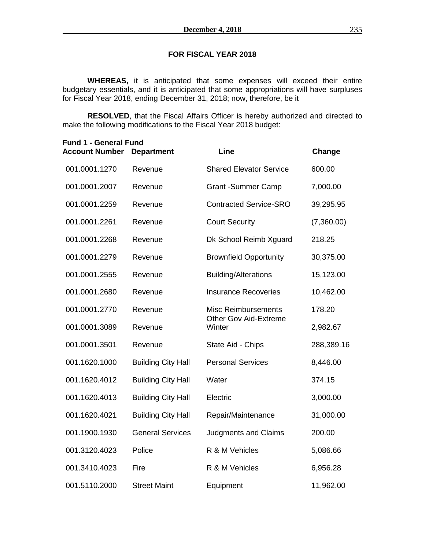# **FOR FISCAL YEAR 2018**

**WHEREAS,** it is anticipated that some expenses will exceed their entire budgetary essentials, and it is anticipated that some appropriations will have surpluses for Fiscal Year 2018, ending December 31, 2018; now, therefore, be it

**RESOLVED**, that the Fiscal Affairs Officer is hereby authorized and directed to make the following modifications to the Fiscal Year 2018 budget:

| <b>Fund 1 - General Fund</b><br><b>Account Number</b> | <b>Department</b>         | Line                                                       | Change     |
|-------------------------------------------------------|---------------------------|------------------------------------------------------------|------------|
| 001.0001.1270                                         | Revenue                   | <b>Shared Elevator Service</b>                             | 600.00     |
| 001.0001.2007                                         | Revenue                   | <b>Grant -Summer Camp</b>                                  | 7,000.00   |
| 001.0001.2259                                         | Revenue                   | <b>Contracted Service-SRO</b>                              | 39,295.95  |
| 001.0001.2261                                         | Revenue                   | <b>Court Security</b>                                      | (7,360.00) |
| 001.0001.2268                                         | Revenue                   | Dk School Reimb Xguard                                     | 218.25     |
| 001.0001.2279                                         | Revenue                   | <b>Brownfield Opportunity</b>                              | 30,375.00  |
| 001.0001.2555                                         | Revenue                   | <b>Building/Alterations</b>                                | 15,123.00  |
| 001.0001.2680                                         | Revenue                   | <b>Insurance Recoveries</b>                                | 10,462.00  |
| 001.0001.2770                                         | Revenue                   | <b>Misc Reimbursements</b><br><b>Other Gov Aid-Extreme</b> | 178.20     |
| 001.0001.3089                                         | Revenue                   | Winter                                                     | 2,982.67   |
| 001.0001.3501                                         | Revenue                   | State Aid - Chips                                          | 288,389.16 |
| 001.1620.1000                                         | <b>Building City Hall</b> | <b>Personal Services</b>                                   | 8,446.00   |
| 001.1620.4012                                         | <b>Building City Hall</b> | Water                                                      | 374.15     |
| 001.1620.4013                                         | <b>Building City Hall</b> | Electric                                                   | 3,000.00   |
| 001.1620.4021                                         | <b>Building City Hall</b> | Repair/Maintenance                                         | 31,000.00  |
| 001.1900.1930                                         | <b>General Services</b>   | <b>Judgments and Claims</b>                                | 200.00     |
| 001.3120.4023                                         | Police                    | R & M Vehicles                                             | 5,086.66   |
| 001.3410.4023                                         | Fire                      | R & M Vehicles                                             | 6,956.28   |
| 001.5110.2000                                         | <b>Street Maint</b>       | Equipment                                                  | 11,962.00  |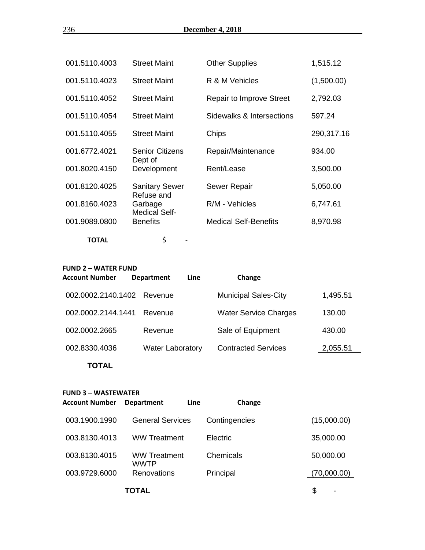| 001.5110.4003 | <b>Street Maint</b>                 | <b>Other Supplies</b>           | 1,515.12   |
|---------------|-------------------------------------|---------------------------------|------------|
| 001.5110.4023 | <b>Street Maint</b>                 | R & M Vehicles                  | (1,500.00) |
| 001.5110.4052 | <b>Street Maint</b>                 | <b>Repair to Improve Street</b> | 2,792.03   |
| 001.5110.4054 | <b>Street Maint</b>                 | Sidewalks & Intersections       | 597.24     |
| 001.5110.4055 | <b>Street Maint</b>                 | Chips                           | 290,317.16 |
| 001.6772.4021 | <b>Senior Citizens</b><br>Dept of   | Repair/Maintenance              | 934.00     |
| 001.8020.4150 | Development                         | Rent/Lease                      | 3,500.00   |
| 001.8120.4025 | <b>Sanitary Sewer</b><br>Refuse and | <b>Sewer Repair</b>             | 5,050.00   |
| 001.8160.4023 | Garbage<br><b>Medical Self-</b>     | R/M - Vehicles                  | 6,747.61   |
| 001.9089.0800 | <b>Benefits</b>                     | <b>Medical Self-Benefits</b>    | 8,970.98   |
| <b>TOTAL</b>  | \$                                  |                                 |            |

#### **FUND 2 – WATER FUND**

| <b>Account Number</b> | <b>Line</b><br><b>Department</b> | Change                       |          |
|-----------------------|----------------------------------|------------------------------|----------|
| 002.0002.2140.1402    | Revenue                          | <b>Municipal Sales-City</b>  | 1,495.51 |
| 002.0002.2144.1441    | Revenue                          | <b>Water Service Charges</b> | 130.00   |
| 002.0002.2665         | Revenue                          | Sale of Equipment            | 430.00   |
| 002.8330.4036         | <b>Water Laboratory</b>          | <b>Contracted Services</b>   | 2,055.51 |
| TOTAL                 |                                  |                              |          |

#### **FUND 3 – WASTEWATER**

| Account Number | <b>Department</b>                  | Line | Change        |    |             |
|----------------|------------------------------------|------|---------------|----|-------------|
| 003.1900.1990  | <b>General Services</b>            |      | Contingencies |    | (15,000.00) |
| 003.8130.4013  | <b>WW Treatment</b>                |      | Electric      |    | 35,000.00   |
| 003.8130.4015  | <b>WW Treatment</b><br><b>WWTP</b> |      | Chemicals     |    | 50,000.00   |
| 003.9729.6000  | Renovations                        |      | Principal     |    | (70,000.00) |
|                | TOTAL                              |      |               | \$ |             |